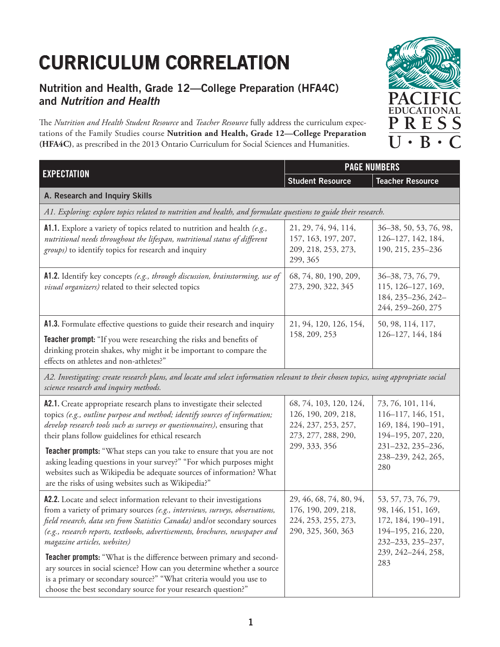## **CURRICULUM CORRELATION**

## **Nutrition and Health, Grade 12—College Preparation (HFA4C) and Nutrition and Health**

The Nutrition and Health Student Resource and *Teacher Resource* fully address the curriculum expectations of the Family Studies course **Nutrition and Health, Grade 12—College Preparation (HFA4C)**, as prescribed in the 2013 Ontario Curriculum for Social Sciences and Humanities.



from a variety of primary sources *(e.g., interviews, surveys, observations, feld research, data sets from Statistics Canada)* and/or secondary sources *(e.g., research reports, textbooks, advertisements, brochures, newspaper and magazine articles, websites)*

**Teacher prompts:** "What is the diference between primary and secondary sources in social science? How can you determine whether a source is a primary or secondary source?" "What criteria would you use to choose the best secondary source for your research question?"

224, 253, 255, 273, 290, 325, 360, 363

172, 184, 190–191, 194–195, 216, 220, 232–233, 235–237, 239, 242–244, 258,

283

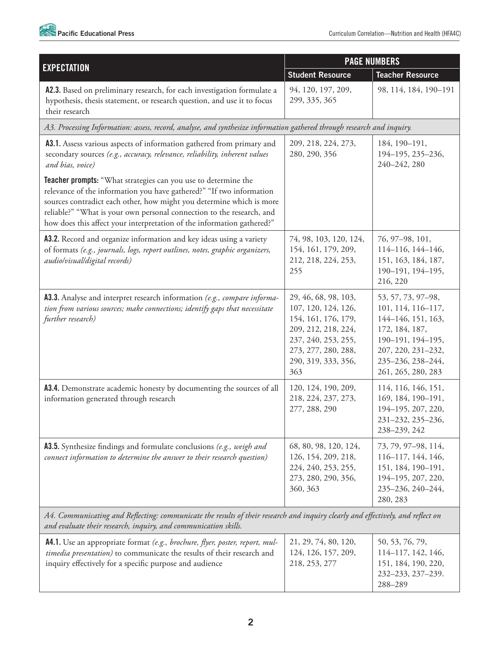

|                                                                                                                                                                                                                                                                                                                                                                   | <b>PAGE NUMBERS</b>                                                                                                                                                   |                                                                                                                                                                        |
|-------------------------------------------------------------------------------------------------------------------------------------------------------------------------------------------------------------------------------------------------------------------------------------------------------------------------------------------------------------------|-----------------------------------------------------------------------------------------------------------------------------------------------------------------------|------------------------------------------------------------------------------------------------------------------------------------------------------------------------|
| <b>EXPECTATION</b>                                                                                                                                                                                                                                                                                                                                                | <b>Student Resource</b>                                                                                                                                               | <b>Teacher Resource</b>                                                                                                                                                |
| A2.3. Based on preliminary research, for each investigation formulate a<br>hypothesis, thesis statement, or research question, and use it to focus<br>their research                                                                                                                                                                                              | 94, 120, 197, 209,<br>299, 335, 365                                                                                                                                   | 98, 114, 184, 190-191                                                                                                                                                  |
| A3. Processing Information: assess, record, analyse, and synthesize information gathered through research and inquiry.                                                                                                                                                                                                                                            |                                                                                                                                                                       |                                                                                                                                                                        |
| A3.1. Assess various aspects of information gathered from primary and<br>secondary sources (e.g., accuracy, relevance, reliability, inherent values<br>and bias, voice)                                                                                                                                                                                           | 209, 218, 224, 273,<br>280, 290, 356                                                                                                                                  | 184, 190-191,<br>194-195, 235-236,<br>240-242, 280                                                                                                                     |
| Teacher prompts: "What strategies can you use to determine the<br>relevance of the information you have gathered?" "If two information<br>sources contradict each other, how might you determine which is more<br>reliable?" "What is your own personal connection to the research, and<br>how does this affect your interpretation of the information gathered?" |                                                                                                                                                                       |                                                                                                                                                                        |
| A3.2. Record and organize information and key ideas using a variety<br>of formats (e.g., journals, logs, report outlines, notes, graphic organizers,<br>audio/visual/digital records)                                                                                                                                                                             | 74, 98, 103, 120, 124,<br>154, 161, 179, 209,<br>212, 218, 224, 253,<br>255                                                                                           | 76, 97-98, 101,<br>114-116, 144-146,<br>151, 163, 184, 187,<br>190-191, 194-195,<br>216, 220                                                                           |
| A3.3. Analyse and interpret research information (e.g., compare informa-<br>tion from various sources; make connections; identify gaps that necessitate<br>further research)                                                                                                                                                                                      | 29, 46, 68, 98, 103,<br>107, 120, 124, 126,<br>154, 161, 176, 179,<br>209, 212, 218, 224,<br>237, 240, 253, 255,<br>273, 277, 280, 288,<br>290, 319, 333, 356,<br>363 | 53, 57, 73, 97-98,<br>101, 114, 116-117,<br>144-146, 151, 163,<br>172, 184, 187,<br>190-191, 194-195,<br>207, 220, 231-232,<br>235-236, 238-244,<br>261, 265, 280, 283 |
| A3.4. Demonstrate academic honesty by documenting the sources of all<br>information generated through research                                                                                                                                                                                                                                                    | 120, 124, 190, 209,<br>218, 224, 237, 273,<br>277, 288, 290                                                                                                           | 114, 116, 146, 151,<br>169, 184, 190-191,<br>194-195, 207, 220,<br>231-232, 235-236,<br>238-239, 242                                                                   |
| A3.5. Synthesize findings and formulate conclusions (e.g., weigh and<br>connect information to determine the answer to their research question)                                                                                                                                                                                                                   | 68, 80, 98, 120, 124,<br>126, 154, 209, 218,<br>224, 240, 253, 255,<br>273, 280, 290, 356,<br>360, 363                                                                | 73, 79, 97-98, 114,<br>116-117, 144, 146,<br>151, 184, 190-191,<br>194-195, 207, 220,<br>235-236, 240-244,<br>280, 283                                                 |
| A4. Communicating and Reflecting: communicate the results of their research and inquiry clearly and effectively, and reflect on<br>and evaluate their research, inquiry, and communication skills.                                                                                                                                                                |                                                                                                                                                                       |                                                                                                                                                                        |

| <b>A4.1.</b> Use an appropriate format (e.g., brochure, flyer, poster, report, mul-<br>timedia presentation) to communicate the results of their research and | 21, 29, 74, 80, 120,<br>124, 126, 157, 209, | 50, 53, 76, 79,<br>$114 - 117, 142, 146,$ |
|---------------------------------------------------------------------------------------------------------------------------------------------------------------|---------------------------------------------|-------------------------------------------|
| inquiry effectively for a specific purpose and audience                                                                                                       | 218, 253, 277                               | 151, 184, 190, 220,<br>232-233, 237-239.  |
|                                                                                                                                                               |                                             | 288-289                                   |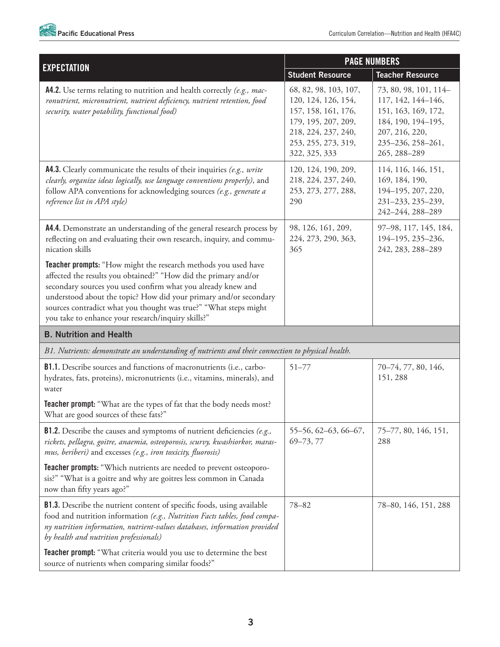

| <b>PAGE NUMBERS</b>                                                                                                                                                                                                                                                                                                                                                                              |                                                                                                                                                           |                                                                                                                                                 |
|--------------------------------------------------------------------------------------------------------------------------------------------------------------------------------------------------------------------------------------------------------------------------------------------------------------------------------------------------------------------------------------------------|-----------------------------------------------------------------------------------------------------------------------------------------------------------|-------------------------------------------------------------------------------------------------------------------------------------------------|
| <b>EXPECTATION</b>                                                                                                                                                                                                                                                                                                                                                                               | <b>Student Resource</b>                                                                                                                                   | <b>Teacher Resource</b>                                                                                                                         |
| A4.2. Use terms relating to nutrition and health correctly (e.g., mac-<br>ronutrient, micronutrient, nutrient deficiency, nutrient retention, food<br>security, water potability, functional food)                                                                                                                                                                                               | 68, 82, 98, 103, 107,<br>120, 124, 126, 154,<br>157, 158, 161, 176,<br>179, 195, 207, 209,<br>218, 224, 237, 240,<br>253, 255, 273, 319,<br>322, 325, 333 | 73, 80, 98, 101, 114-<br>117, 142, 144-146,<br>151, 163, 169, 172,<br>184, 190, 194-195,<br>207, 216, 220,<br>235-236, 258-261,<br>265, 288-289 |
| A4.3. Clearly communicate the results of their inquiries (e.g., write<br>clearly, organize ideas logically, use language conventions properly), and<br>follow APA conventions for acknowledging sources (e.g., generate a<br>reference list in APA style)                                                                                                                                        | 120, 124, 190, 209,<br>218, 224, 237, 240,<br>253, 273, 277, 288,<br>290                                                                                  | 114, 116, 146, 151,<br>169, 184, 190,<br>194-195, 207, 220,<br>231-233, 235-239,<br>242-244, 288-289                                            |
| A4.4. Demonstrate an understanding of the general research process by<br>reflecting on and evaluating their own research, inquiry, and commu-<br>nication skills                                                                                                                                                                                                                                 | 98, 126, 161, 209,<br>224, 273, 290, 363,<br>365                                                                                                          | 97-98, 117, 145, 184,<br>194-195, 235-236,<br>242, 283, 288-289                                                                                 |
| Teacher prompts: "How might the research methods you used have<br>affected the results you obtained?" "How did the primary and/or<br>secondary sources you used confirm what you already knew and<br>understood about the topic? How did your primary and/or secondary<br>sources contradict what you thought was true?" "What steps might<br>you take to enhance your research/inquiry skills?" |                                                                                                                                                           |                                                                                                                                                 |
| <b>B. Nutrition and Health</b>                                                                                                                                                                                                                                                                                                                                                                   |                                                                                                                                                           |                                                                                                                                                 |
| B1. Nutrients: demonstrate an understanding of nutrients and their connection to physical health.                                                                                                                                                                                                                                                                                                |                                                                                                                                                           |                                                                                                                                                 |
| B1.1. Describe sources and functions of macronutrients (i.e., carbo-<br>hydrates, fats, proteins), micronutrients (i.e., vitamins, minerals), and<br>water                                                                                                                                                                                                                                       | $51 - 77$                                                                                                                                                 | 70-74, 77, 80, 146,<br>151, 288                                                                                                                 |
| Teacher prompt: "What are the types of fat that the body needs most?<br>What are good sources of these fats?"                                                                                                                                                                                                                                                                                    |                                                                                                                                                           |                                                                                                                                                 |
| <b>B1.2.</b> Describe the causes and symptoms of nutrient deficiencies (e.g.,<br>rickets, pellagra, goitre, anaemia, osteoporosis, scurvy, kwashiorkor, maras-<br>mus, beriberi) and excesses (e.g., iron toxicity, fluorosis)                                                                                                                                                                   | 55-56, 62-63, 66-67,<br>$69 - 73, 77$                                                                                                                     | 75-77, 80, 146, 151,<br>288                                                                                                                     |
| <b>Teacher prompts:</b> "Which nutrients are needed to prevent osteoporo-<br>sis?" "What is a goitre and why are goitres less common in Canada<br>now than fifty years ago?"                                                                                                                                                                                                                     |                                                                                                                                                           |                                                                                                                                                 |
| <b>B1.3.</b> Describe the nutrient content of specific foods, using available<br>food and nutrition information (e.g., Nutrition Facts tables, food compa-<br>ny nutrition information, nutrient-values databases, information provided<br>by health and nutrition professionals)                                                                                                                | $78 - 82$                                                                                                                                                 | 78-80, 146, 151, 288                                                                                                                            |
| <b>Teacher prompt:</b> "What criteria would you use to determine the best<br>source of nutrients when comparing similar foods?"                                                                                                                                                                                                                                                                  |                                                                                                                                                           |                                                                                                                                                 |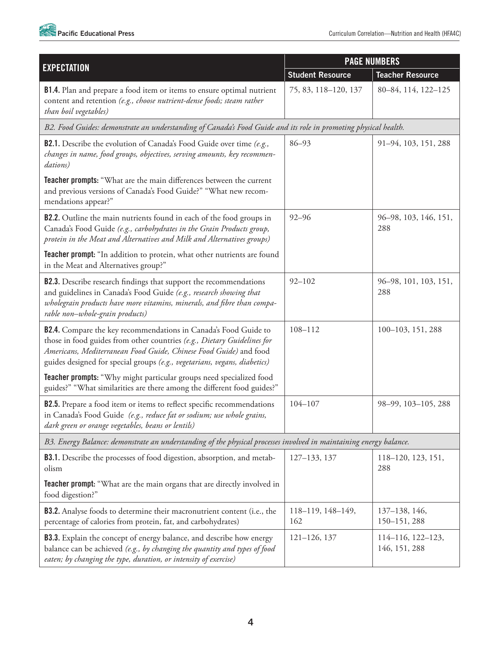

|                                                                                                                                                                                                                                                                                                     | <b>PAGE NUMBERS</b>      |                                    |
|-----------------------------------------------------------------------------------------------------------------------------------------------------------------------------------------------------------------------------------------------------------------------------------------------------|--------------------------|------------------------------------|
| <b>EXPECTATION</b>                                                                                                                                                                                                                                                                                  | <b>Student Resource</b>  | <b>Teacher Resource</b>            |
| <b>B1.4.</b> Plan and prepare a food item or items to ensure optimal nutrient<br>content and retention (e.g., choose nutrient-dense foods; steam rather<br>than boil vegetables)                                                                                                                    | 75, 83, 118-120, 137     | 80-84, 114, 122-125                |
| B2. Food Guides: demonstrate an understanding of Canada's Food Guide and its role in promoting physical health.                                                                                                                                                                                     |                          |                                    |
| B2.1. Describe the evolution of Canada's Food Guide over time (e.g.,<br>changes in name, food groups, objectives, serving amounts, key recommen-<br>dations)                                                                                                                                        | $86 - 93$                | 91-94, 103, 151, 288               |
| Teacher prompts: "What are the main differences between the current<br>and previous versions of Canada's Food Guide?" "What new recom-<br>mendations appear?"                                                                                                                                       |                          |                                    |
| <b>B2.2.</b> Outline the main nutrients found in each of the food groups in<br>Canada's Food Guide (e.g., carbohydrates in the Grain Products group,<br>protein in the Meat and Alternatives and Milk and Alternatives groups)                                                                      | $92 - 96$                | 96-98, 103, 146, 151,<br>288       |
| Teacher prompt: "In addition to protein, what other nutrients are found<br>in the Meat and Alternatives group?"                                                                                                                                                                                     |                          |                                    |
| <b>B2.3.</b> Describe research findings that support the recommendations<br>and guidelines in Canada's Food Guide (e.g., research showing that<br>wholegrain products have more vitamins, minerals, and fibre than compa-<br>rable non-whole-grain products)                                        | $92 - 102$               | 96-98, 101, 103, 151,<br>288       |
| <b>B2.4.</b> Compare the key recommendations in Canada's Food Guide to<br>those in food guides from other countries (e.g., Dietary Guidelines for<br>Americans, Mediterranean Food Guide, Chinese Food Guide) and food<br>guides designed for special groups (e.g., vegetarians, vegans, diabetics) | 108-112                  | 100-103, 151, 288                  |
| Teacher prompts: "Why might particular groups need specialized food<br>guides?" "What similarities are there among the different food guides?"                                                                                                                                                      |                          |                                    |
| B2.5. Prepare a food item or items to reflect specific recommendations<br>in Canada's Food Guide (e.g., reduce fat or sodium; use whole grains,<br>dark green or orange vegetables, beans or lentils)                                                                                               | $104 - 107$              | 98-99, 103-105, 288                |
| B3. Energy Balance: demonstrate an understanding of the physical processes involved in maintaining energy balance.                                                                                                                                                                                  |                          |                                    |
| <b>B3.1.</b> Describe the processes of food digestion, absorption, and metab-<br>olism                                                                                                                                                                                                              | 127-133, 137             | 118-120, 123, 151,<br>288          |
| <b>Teacher prompt:</b> "What are the main organs that are directly involved in<br>food digestion?"                                                                                                                                                                                                  |                          |                                    |
| <b>B3.2.</b> Analyse foods to determine their macronutrient content (i.e., the<br>percentage of calories from protein, fat, and carbohydrates)                                                                                                                                                      | 118-119, 148-149,<br>162 | 137-138, 146,<br>150-151, 288      |
| B3.3. Explain the concept of energy balance, and describe how energy<br>balance can be achieved (e.g., by changing the quantity and types of food<br>eaten; by changing the type, duration, or intensity of exercise)                                                                               | $121 - 126$ , 137        | 114-116, 122-123,<br>146, 151, 288 |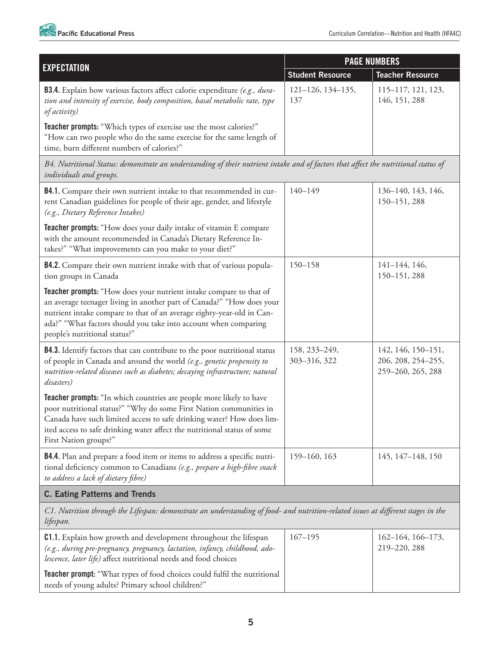

| <b>EXPECTATION</b>                                                                                                                                                                                                                                                                                                       | <b>PAGE NUMBERS</b>           |                                                               |
|--------------------------------------------------------------------------------------------------------------------------------------------------------------------------------------------------------------------------------------------------------------------------------------------------------------------------|-------------------------------|---------------------------------------------------------------|
|                                                                                                                                                                                                                                                                                                                          | <b>Student Resource</b>       | <b>Teacher Resource</b>                                       |
| <b>B3.4.</b> Explain how various factors affect calorie expenditure (e.g., dura-<br>tion and intensity of exercise, body composition, basal metabolic rate, type<br>of activity)                                                                                                                                         | 121-126, 134-135,<br>137      | 115-117, 121, 123,<br>146, 151, 288                           |
| <b>Teacher prompts:</b> "Which types of exercise use the most calories?"<br>"How can two people who do the same exercise for the same length of<br>time, burn different numbers of calories?"                                                                                                                            |                               |                                                               |
| B4. Nutritional Status: demonstrate an understanding of their nutrient intake and of factors that affect the nutritional status of<br>individuals and groups.                                                                                                                                                            |                               |                                                               |
| <b>B4.1.</b> Compare their own nutrient intake to that recommended in cur-<br>rent Canadian guidelines for people of their age, gender, and lifestyle<br>(e.g., Dietary Reference Intakes)                                                                                                                               | $140 - 149$                   | 136-140, 143, 146,<br>150-151, 288                            |
| Teacher prompts: "How does your daily intake of vitamin E compare<br>with the amount recommended in Canada's Dietary Reference In-<br>takes?" "What improvements can you make to your diet?"                                                                                                                             |                               |                                                               |
| <b>B4.2.</b> Compare their own nutrient intake with that of various popula-<br>tion groups in Canada                                                                                                                                                                                                                     | $150 - 158$                   | $141 - 144$ , 146,<br>150-151, 288                            |
| Teacher prompts: "How does your nutrient intake compare to that of<br>an average teenager living in another part of Canada?" "How does your<br>nutrient intake compare to that of an average eighty-year-old in Can-<br>ada?" "What factors should you take into account when comparing<br>people's nutritional status?" |                               |                                                               |
| <b>B4.3.</b> Identify factors that can contribute to the poor nutritional status<br>of people in Canada and around the world (e.g., genetic propensity to<br>nutrition-related diseases such as diabetes; decaying infrastructure; natural<br>disasters)                                                                 | 158, 233-249,<br>303-316, 322 | 142, 146, 150-151,<br>206, 208, 254-255,<br>259-260, 265, 288 |
| Teacher prompts: "In which countries are people more likely to have<br>poor nutritional status?" "Why do some First Nation communities in<br>Canada have such limited access to safe drinking water? How does lim-<br>ited access to safe drinking water affect the nutritional status of some<br>First Nation groups?"  |                               |                                                               |
| <b>B4.4.</b> Plan and prepare a food item or items to address a specific nutri-<br>tional deficiency common to Canadians (e.g., prepare a high-fibre snack<br>to address a lack of dietary fibre)                                                                                                                        | 159-160, 163                  | 145, 147-148, 150                                             |
| <b>C. Eating Patterns and Trends</b>                                                                                                                                                                                                                                                                                     |                               |                                                               |
| C1. Nutrition through the Lifespan: demonstrate an understanding of food- and nutrition-related issues at different stages in the<br>lifespan.                                                                                                                                                                           |                               |                                                               |

| <b>C1.1.</b> Explain how growth and development throughout the lifespan<br>(e.g., during pre-pregnancy, pregnancy, lactation, infancy, childhood, ado-<br>lescence, later life) affect nutritional needs and food choices | $167 - 195$ | $162 - 164$ , $166 - 173$ ,<br>219-220, 288 |
|---------------------------------------------------------------------------------------------------------------------------------------------------------------------------------------------------------------------------|-------------|---------------------------------------------|
| <b>Teacher prompt:</b> "What types of food choices could fulfil the nutritional<br>needs of young adults? Primary school children?"                                                                                       |             |                                             |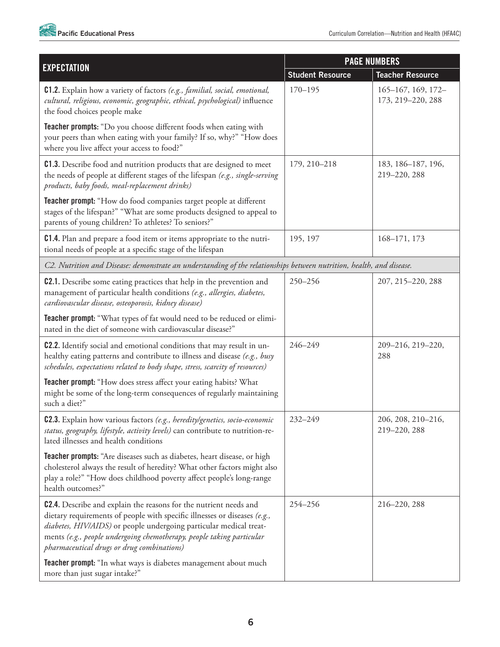

| <b>EXPECTATION</b>                                                                                                                                                                                                                                                                                                                                 | <b>PAGE NUMBERS</b>     |                                              |
|----------------------------------------------------------------------------------------------------------------------------------------------------------------------------------------------------------------------------------------------------------------------------------------------------------------------------------------------------|-------------------------|----------------------------------------------|
|                                                                                                                                                                                                                                                                                                                                                    | <b>Student Resource</b> | <b>Teacher Resource</b>                      |
| <b>C1.2.</b> Explain how a variety of factors (e.g., familial, social, emotional,<br>cultural, religious, economic, geographic, ethical, psychological) influence<br>the food choices people make                                                                                                                                                  | $170 - 195$             | $165 - 167$ , 169, 172-<br>173, 219-220, 288 |
| Teacher prompts: "Do you choose different foods when eating with<br>your peers than when eating with your family? If so, why?" "How does<br>where you live affect your access to food?"                                                                                                                                                            |                         |                                              |
| <b>C1.3.</b> Describe food and nutrition products that are designed to meet<br>the needs of people at different stages of the lifespan (e.g., single-serving<br>products, baby foods, meal-replacement drinks)                                                                                                                                     | 179, 210-218            | 183, 186-187, 196,<br>219-220, 288           |
| Teacher prompt: "How do food companies target people at different<br>stages of the lifespan?" "What are some products designed to appeal to<br>parents of young children? To athletes? To seniors?"                                                                                                                                                |                         |                                              |
| <b>C1.4.</b> Plan and prepare a food item or items appropriate to the nutri-<br>tional needs of people at a specific stage of the lifespan                                                                                                                                                                                                         | 195, 197                | 168-171, 173                                 |
| C2. Nutrition and Disease: demonstrate an understanding of the relationships between nutrition, health, and disease.                                                                                                                                                                                                                               |                         |                                              |
| <b>C2.1.</b> Describe some eating practices that help in the prevention and<br>management of particular health conditions (e.g., allergies, diabetes,<br>cardiovascular disease, osteoporosis, kidney disease)                                                                                                                                     | 250-256                 | 207, 215-220, 288                            |
| Teacher prompt: "What types of fat would need to be reduced or elimi-<br>nated in the diet of someone with cardiovascular disease?"                                                                                                                                                                                                                |                         |                                              |
| <b>C2.2.</b> Identify social and emotional conditions that may result in un-<br>healthy eating patterns and contribute to illness and disease (e.g., busy<br>schedules, expectations related to body shape, stress, scarcity of resources)                                                                                                         | 246-249                 | 209-216, 219-220,<br>288                     |
| Teacher prompt: "How does stress affect your eating habits? What<br>might be some of the long-term consequences of regularly maintaining<br>such a diet?"                                                                                                                                                                                          |                         |                                              |
| C2.3. Explain how various factors (e.g., heredity/genetics, socio-economic<br>status, geography, lifestyle, activity levels) can contribute to nutrition-re-<br>lated illnesses and health conditions                                                                                                                                              | 232-249                 | 206, 208, 210-216,<br>219-220, 288           |
| <b>Teacher prompts:</b> "Are diseases such as diabetes, heart disease, or high<br>cholesterol always the result of heredity? What other factors might also<br>play a role?" "How does childhood poverty affect people's long-range<br>health outcomes?"                                                                                            |                         |                                              |
| <b>C2.4.</b> Describe and explain the reasons for the nutrient needs and<br>dietary requirements of people with specific illnesses or diseases (e.g.,<br>diabetes, HIV/AIDS) or people undergoing particular medical treat-<br>ments (e.g., people undergoing chemotherapy, people taking particular<br>pharmaceutical drugs or drug combinations) | 254-256                 | 216-220, 288                                 |
| <b>Teacher prompt:</b> "In what ways is diabetes management about much<br>more than just sugar intake?"                                                                                                                                                                                                                                            |                         |                                              |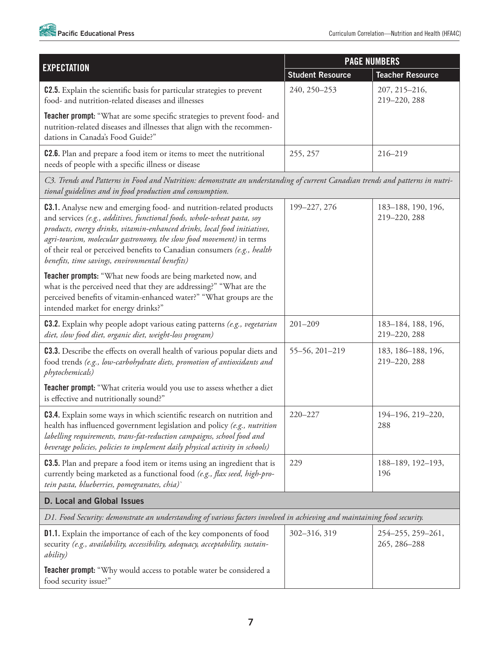

| <b>EXPECTATION</b>                                                                                                                                                                                                                                                                                                                                                                                                                       | <b>PAGE NUMBERS</b>     |                                    |
|------------------------------------------------------------------------------------------------------------------------------------------------------------------------------------------------------------------------------------------------------------------------------------------------------------------------------------------------------------------------------------------------------------------------------------------|-------------------------|------------------------------------|
|                                                                                                                                                                                                                                                                                                                                                                                                                                          | <b>Student Resource</b> | <b>Teacher Resource</b>            |
| <b>C2.5.</b> Explain the scientific basis for particular strategies to prevent<br>food- and nutrition-related diseases and illnesses                                                                                                                                                                                                                                                                                                     | 240, 250-253            | 207, 215-216,<br>219-220, 288      |
| <b>Teacher prompt:</b> "What are some specific strategies to prevent food- and<br>nutrition-related diseases and illnesses that align with the recommen-<br>dations in Canada's Food Guide?"                                                                                                                                                                                                                                             |                         |                                    |
| <b>C2.6.</b> Plan and prepare a food item or items to meet the nutritional<br>needs of people with a specific illness or disease                                                                                                                                                                                                                                                                                                         | 255, 257                | 216-219                            |
| C3. Trends and Patterns in Food and Nutrition: demonstrate an understanding of current Canadian trends and patterns in nutri-<br>tional guidelines and in food production and consumption.                                                                                                                                                                                                                                               |                         |                                    |
| <b>C3.1.</b> Analyse new and emerging food- and nutrition-related products<br>and services (e.g., additives, functional foods, whole-wheat pasta, soy<br>products, energy drinks, vitamin-enhanced drinks, local food initiatives,<br>agri-tourism, molecular gastronomy, the slow food movement) in terms<br>of their real or perceived benefits to Canadian consumers (e.g., health<br>benefits, time savings, environmental benefits) | 199-227, 276            | 183-188, 190, 196,<br>219-220, 288 |
| Teacher prompts: "What new foods are being marketed now, and<br>what is the perceived need that they are addressing?" "What are the<br>perceived benefits of vitamin-enhanced water?" "What groups are the<br>intended market for energy drinks?"                                                                                                                                                                                        |                         |                                    |
| <b>C3.2.</b> Explain why people adopt various eating patterns (e.g., vegetarian<br>diet, slow food diet, organic diet, weight-loss program)                                                                                                                                                                                                                                                                                              | $201 - 209$             | 183-184, 188, 196,<br>219-220, 288 |
| <b>C3.3.</b> Describe the effects on overall health of various popular diets and<br>food trends (e.g., low-carbohydrate diets, promotion of antioxidants and<br>phytochemicals)                                                                                                                                                                                                                                                          | 55-56, 201-219          | 183, 186-188, 196,<br>219-220, 288 |
| Teacher prompt: "What criteria would you use to assess whether a diet<br>is effective and nutritionally sound?"                                                                                                                                                                                                                                                                                                                          |                         |                                    |
| <b>C3.4.</b> Explain some ways in which scientific research on nutrition and<br>health has influenced government legislation and policy (e.g., nutrition<br>labelling requirements, trans-fat-reduction campaigns, school food and<br>beverage policies, policies to implement daily physical activity in schools)                                                                                                                       | 220-227                 | 194-196, 219-220,<br>288           |
| <b>C3.5.</b> Plan and prepare a food item or items using an ingredient that is<br>currently being marketed as a functional food (e.g., flax seed, high-pro-<br>tein pasta, blueberries, pomegranates, chia)'                                                                                                                                                                                                                             | 229                     | 188-189, 192-193,<br>196           |
| <b>D. Local and Global Issues</b>                                                                                                                                                                                                                                                                                                                                                                                                        |                         |                                    |
| D1. Food Security: demonstrate an understanding of various factors involved in achieving and maintaining food security.                                                                                                                                                                                                                                                                                                                  |                         |                                    |
| <b>D1.1.</b> Explain the importance of each of the key components of food<br>security (e.g., availability, accessibility, adequacy, acceptability, sustain-<br><i>ability</i> )                                                                                                                                                                                                                                                          | 302-316, 319            | 254-255, 259-261,<br>265, 286-288  |
| <b>Teacher prompt:</b> "Why would access to potable water be considered a<br>food security issue?"                                                                                                                                                                                                                                                                                                                                       |                         |                                    |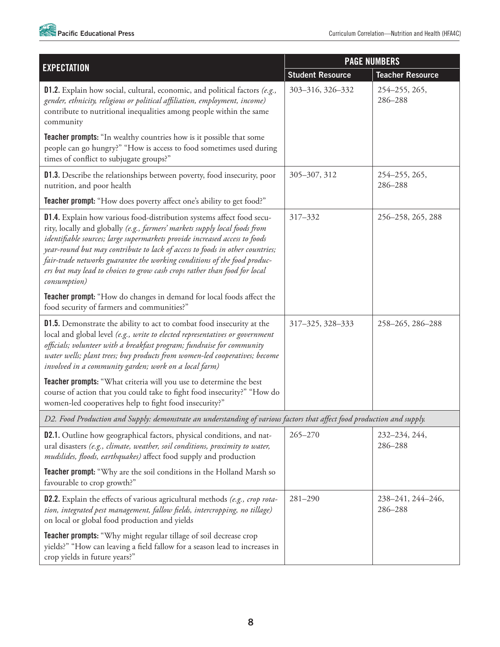

|                                                                                                                                                                                                                                                                                                                                                                                                                                                                                            | <b>PAGE NUMBERS</b>     |                              |
|--------------------------------------------------------------------------------------------------------------------------------------------------------------------------------------------------------------------------------------------------------------------------------------------------------------------------------------------------------------------------------------------------------------------------------------------------------------------------------------------|-------------------------|------------------------------|
| <b>EXPECTATION</b>                                                                                                                                                                                                                                                                                                                                                                                                                                                                         | <b>Student Resource</b> | <b>Teacher Resource</b>      |
| <b>D1.2.</b> Explain how social, cultural, economic, and political factors (e.g.,<br>gender, ethnicity, religious or political affiliation, employment, income)<br>contribute to nutritional inequalities among people within the same<br>community                                                                                                                                                                                                                                        | 303-316, 326-332        | 254-255, 265,<br>286-288     |
| <b>Teacher prompts:</b> "In wealthy countries how is it possible that some<br>people can go hungry?" "How is access to food sometimes used during<br>times of conflict to subjugate groups?"                                                                                                                                                                                                                                                                                               |                         |                              |
| <b>D1.3.</b> Describe the relationships between poverty, food insecurity, poor<br>nutrition, and poor health                                                                                                                                                                                                                                                                                                                                                                               | 305-307, 312            | 254-255, 265,<br>286-288     |
| <b>Teacher prompt:</b> "How does poverty affect one's ability to get food?"                                                                                                                                                                                                                                                                                                                                                                                                                |                         |                              |
| D1.4. Explain how various food-distribution systems affect food secu-<br>rity, locally and globally (e.g., farmers' markets supply local foods from<br>identifiable sources; large supermarkets provide increased access to foods<br>year-round but may contribute to lack of access to foods in other countries;<br>fair-trade networks guarantee the working conditions of the food produc-<br>ers but may lead to choices to grow cash crops rather than food for local<br>consumption) | 317-332                 | 256-258, 265, 288            |
| Teacher prompt: "How do changes in demand for local foods affect the<br>food security of farmers and communities?"                                                                                                                                                                                                                                                                                                                                                                         |                         |                              |
| <b>D1.5.</b> Demonstrate the ability to act to combat food insecurity at the<br>local and global level (e.g., write to elected representatives or government<br>officials; volunteer with a breakfast program; fundraise for community<br>water wells; plant trees; buy products from women-led cooperatives; become<br>involved in a community garden; work on a local farm)                                                                                                              | 317-325, 328-333        | 258-265, 286-288             |
| Teacher prompts: "What criteria will you use to determine the best<br>course of action that you could take to fight food insecurity?" "How do<br>women-led cooperatives help to fight food insecurity?"                                                                                                                                                                                                                                                                                    |                         |                              |
| D2. Food Production and Supply: demonstrate an understanding of various factors that affect food production and supply.                                                                                                                                                                                                                                                                                                                                                                    |                         |                              |
| <b>D2.1.</b> Outline how geographical factors, physical conditions, and nat-<br>ural disasters (e.g., climate, weather, soil conditions, proximity to water,<br>mudslides, floods, earthquakes) affect food supply and production                                                                                                                                                                                                                                                          | $265 - 270$             | 232-234, 244,<br>286-288     |
| <b>Teacher prompt:</b> "Why are the soil conditions in the Holland Marsh so<br>favourable to crop growth?"                                                                                                                                                                                                                                                                                                                                                                                 |                         |                              |
| <b>D2.2.</b> Explain the effects of various agricultural methods (e.g., crop rota-<br>tion, integrated pest management, fallow fields, intercropping, no tillage)<br>on local or global food production and yields                                                                                                                                                                                                                                                                         | $281 - 290$             | 238-241, 244-246,<br>286-288 |
| <b>Teacher prompts:</b> "Why might regular tillage of soil decrease crop<br>yields?" "How can leaving a field fallow for a season lead to increases in<br>crop yields in future years?"                                                                                                                                                                                                                                                                                                    |                         |                              |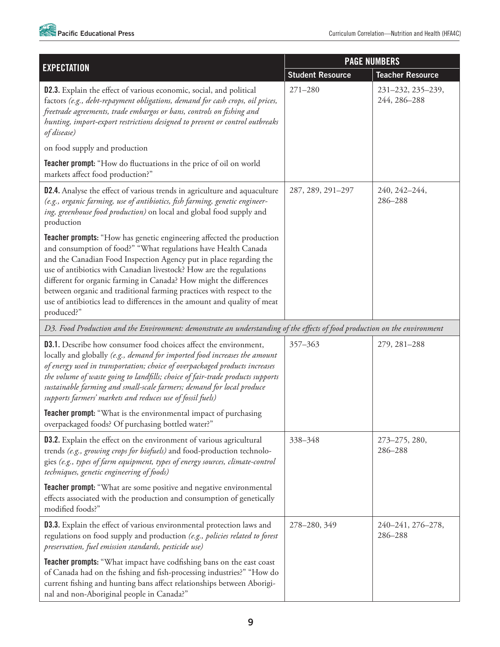

| <b>EXPECTATION</b>                                                                                                                                                                                                                                                                                                                                                                                                                                                                                                                   | <b>PAGE NUMBERS</b>     |                                   |
|--------------------------------------------------------------------------------------------------------------------------------------------------------------------------------------------------------------------------------------------------------------------------------------------------------------------------------------------------------------------------------------------------------------------------------------------------------------------------------------------------------------------------------------|-------------------------|-----------------------------------|
|                                                                                                                                                                                                                                                                                                                                                                                                                                                                                                                                      | <b>Student Resource</b> | <b>Teacher Resource</b>           |
| D2.3. Explain the effect of various economic, social, and political<br>factors (e.g., debt-repayment obligations, demand for cash crops, oil prices,<br>freetrade agreements, trade embargos or bans, controls on fishing and<br>hunting, import-export restrictions designed to prevent or control outbreaks<br>of disease)                                                                                                                                                                                                         | $271 - 280$             | 231-232, 235-239,<br>244, 286-288 |
| on food supply and production                                                                                                                                                                                                                                                                                                                                                                                                                                                                                                        |                         |                                   |
| Teacher prompt: "How do fluctuations in the price of oil on world<br>markets affect food production?"                                                                                                                                                                                                                                                                                                                                                                                                                                |                         |                                   |
| D2.4. Analyse the effect of various trends in agriculture and aquaculture<br>(e.g., organic farming, use of antibiotics, fish farming, genetic engineer-<br>ing, greenhouse food production) on local and global food supply and<br>production                                                                                                                                                                                                                                                                                       | 287, 289, 291-297       | 240, 242-244,<br>286-288          |
| <b>Teacher prompts:</b> "How has genetic engineering affected the production<br>and consumption of food?" "What regulations have Health Canada<br>and the Canadian Food Inspection Agency put in place regarding the<br>use of antibiotics with Canadian livestock? How are the regulations<br>different for organic farming in Canada? How might the differences<br>between organic and traditional farming practices with respect to the<br>use of antibiotics lead to differences in the amount and quality of meat<br>produced?" |                         |                                   |
| D3. Food Production and the Environment: demonstrate an understanding of the effects of food production on the environment                                                                                                                                                                                                                                                                                                                                                                                                           |                         |                                   |
| <b>D3.1.</b> Describe how consumer food choices affect the environment,<br>locally and globally (e.g., demand for imported food increases the amount<br>of energy used in transportation; choice of overpackaged products increases<br>the volume of waste going to landfills; choice of fair-trade products supports<br>sustainable farming and small-scale farmers; demand for local produce<br>supports farmers' markets and reduces use of fossil fuels)                                                                         | 357-363                 | 279, 281-288                      |
| Teacher prompt: "What is the environmental impact of purchasing<br>overpackaged foods? Of purchasing bottled water?"                                                                                                                                                                                                                                                                                                                                                                                                                 |                         |                                   |
| <b>D3.2.</b> Explain the effect on the environment of various agricultural<br>trends (e.g., growing crops for biofuels) and food-production technolo-<br>gies (e.g., types of farm equipment, types of energy sources, climate-control<br>techniques, genetic engineering of foods)                                                                                                                                                                                                                                                  | 338-348                 | 273-275, 280,<br>286-288          |
| <b>Teacher prompt:</b> "What are some positive and negative environmental<br>effects associated with the production and consumption of genetically<br>modified foods?"                                                                                                                                                                                                                                                                                                                                                               |                         |                                   |
| <b>D3.3.</b> Explain the effect of various environmental protection laws and<br>regulations on food supply and production (e.g., policies related to forest<br>preservation, fuel emission standards, pesticide use)                                                                                                                                                                                                                                                                                                                 | 278-280, 349            | 240-241, 276-278,<br>286-288      |
| <b>Teacher prompts:</b> "What impact have codfishing bans on the east coast<br>of Canada had on the fishing and fish-processing industries?" "How do<br>current fishing and hunting bans affect relationships between Aborigi-<br>nal and non-Aboriginal people in Canada?"                                                                                                                                                                                                                                                          |                         |                                   |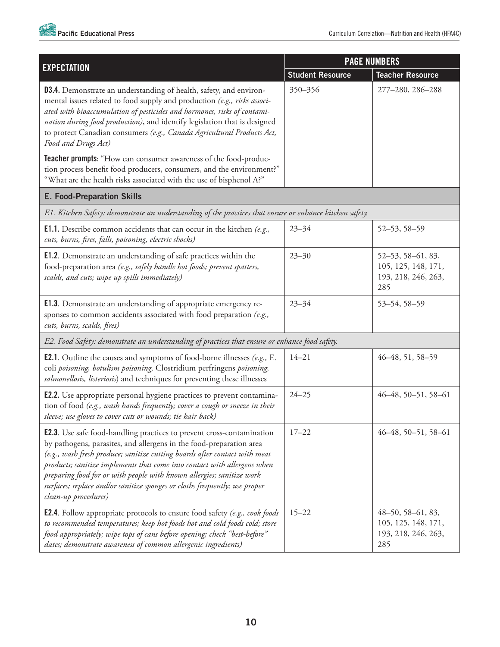|                                                                                                                                                                                                                                                                                                                                                                                                                                                                                              | <b>PAGE NUMBERS</b>     |                                                                              |
|----------------------------------------------------------------------------------------------------------------------------------------------------------------------------------------------------------------------------------------------------------------------------------------------------------------------------------------------------------------------------------------------------------------------------------------------------------------------------------------------|-------------------------|------------------------------------------------------------------------------|
| <b>EXPECTATION</b>                                                                                                                                                                                                                                                                                                                                                                                                                                                                           | <b>Student Resource</b> | <b>Teacher Resource</b>                                                      |
| <b>D3.4.</b> Demonstrate an understanding of health, safety, and environ-<br>mental issues related to food supply and production (e.g., risks associ-<br>ated with bioaccumulation of pesticides and hormones, risks of contami-<br>nation during food production), and identify legislation that is designed<br>to protect Canadian consumers (e.g., Canada Agricultural Products Act,<br>Food and Drugs Act)                                                                               | 350-356                 | 277-280, 286-288                                                             |
| Teacher prompts: "How can consumer awareness of the food-produc-<br>tion process benefit food producers, consumers, and the environment?"<br>"What are the health risks associated with the use of bisphenol A?"                                                                                                                                                                                                                                                                             |                         |                                                                              |
| <b>E. Food-Preparation Skills</b>                                                                                                                                                                                                                                                                                                                                                                                                                                                            |                         |                                                                              |
| E1. Kitchen Safety: demonstrate an understanding of the practices that ensure or enhance kitchen safety.                                                                                                                                                                                                                                                                                                                                                                                     |                         |                                                                              |
| <b>E1.1.</b> Describe common accidents that can occur in the kitchen $(e.g.,$<br>cuts, burns, fires, falls, poisoning, electric shocks)                                                                                                                                                                                                                                                                                                                                                      | $23 - 34$               | 52-53, 58-59                                                                 |
| E1.2. Demonstrate an understanding of safe practices within the<br>food-preparation area (e.g., safely handle hot foods; prevent spatters,<br>scalds, and cuts; wipe up spills immediately)                                                                                                                                                                                                                                                                                                  | $23 - 30$               | 52-53, 58-61, 83,<br>105, 125, 148, 171,<br>193, 218, 246, 263,<br>285       |
| <b>E1.3.</b> Demonstrate an understanding of appropriate emergency re-<br>sponses to common accidents associated with food preparation (e.g.,<br>cuts, burns, scalds, fires)                                                                                                                                                                                                                                                                                                                 | $23 - 34$               | 53-54, 58-59                                                                 |
| E2. Food Safety: demonstrate an understanding of practices that ensure or enhance food safety.                                                                                                                                                                                                                                                                                                                                                                                               |                         |                                                                              |
| <b>E2.1.</b> Outline the causes and symptoms of food-borne illnesses (e.g., E.<br>coli poisoning, botulism poisoning, Clostridium perfringens poisoning,<br>salmonellosis, listeriosis) and techniques for preventing these illnesses                                                                                                                                                                                                                                                        | $14 - 21$               | 46-48, 51, 58-59                                                             |
| <b>E2.2.</b> Use appropriate personal hygiene practices to prevent contamina-<br>tion of food (e.g., wash hands frequently; cover a cough or sneeze in their<br>sleeve; use gloves to cover cuts or wounds; tie hair back)                                                                                                                                                                                                                                                                   | $24 - 25$               | $46-48, 50-51, 58-61$                                                        |
| <b>E2.3.</b> Use safe food-handling practices to prevent cross-contamination<br>by pathogens, parasites, and allergens in the food-preparation area<br>(e.g., wash fresh produce; sanitize cutting boards after contact with meat<br>products; sanitize implements that come into contact with allergens when<br>preparing food for or with people with known allergies; sanitize work<br>surfaces; replace and/or sanitize sponges or cloths frequently; use proper<br>clean-up procedures) | $17 - 22$               | $46-48, 50-51, 58-61$                                                        |
| <b>E2.4.</b> Follow appropriate protocols to ensure food safety (e.g., cook foods<br>to recommended temperatures; keep hot foods hot and cold foods cold; store<br>food appropriately; wipe tops of cans before opening; check "best-before"<br>dates; demonstrate awareness of common allergenic ingredients)                                                                                                                                                                               | $15 - 22$               | $48 - 50, 58 - 61, 83,$<br>105, 125, 148, 171,<br>193, 218, 246, 263,<br>285 |